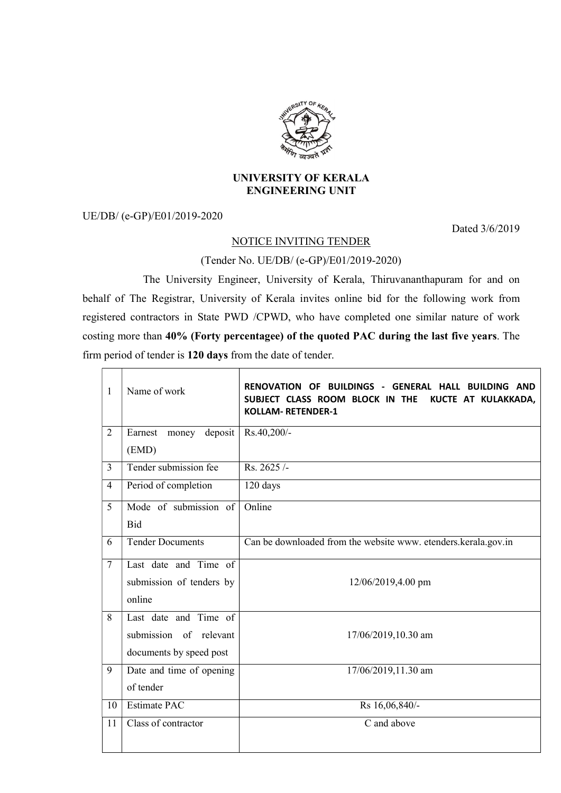

## UNIVERSITY OF KERALA ENGINEERING UNIT

UE/DB/ (e-GP)/E01/2019-2020

Dated 3/6/2019

## NOTICE INVITING TENDER

## (Tender No. UE/DB/ (e-GP)/E01/2019-2020)

 The University Engineer, University of Kerala, Thiruvananthapuram for and on behalf of The Registrar, University of Kerala invites online bid for the following work from registered contractors in State PWD /CPWD, who have completed one similar nature of work costing more than 40% (Forty percentagee) of the quoted PAC during the last five years. The firm period of tender is 120 days from the date of tender.

| 1              | Name of work                | BUILDINGS - GENERAL HALL<br><b>RENOVATION OF</b><br><b>BUILDING AND</b><br>SUBJECT CLASS ROOM BLOCK IN THE<br>KUCTE AT KULAKKADA,<br><b>KOLLAM- RETENDER-1</b> |
|----------------|-----------------------------|----------------------------------------------------------------------------------------------------------------------------------------------------------------|
| $\overline{2}$ | Earnest<br>deposit<br>money | Rs.40,200/-                                                                                                                                                    |
|                | (EMD)                       |                                                                                                                                                                |
| $\overline{3}$ | Tender submission fee       | Rs. 2625/-                                                                                                                                                     |
| 4              | Period of completion        | 120 days                                                                                                                                                       |
| 5              | Mode of submission of       | Online                                                                                                                                                         |
|                | <b>Bid</b>                  |                                                                                                                                                                |
| 6              | <b>Tender Documents</b>     | Can be downloaded from the website www. etenders.kerala.gov.in                                                                                                 |
| $\overline{7}$ | Last date and Time of       |                                                                                                                                                                |
|                | submission of tenders by    | 12/06/2019,4.00 pm                                                                                                                                             |
|                | online                      |                                                                                                                                                                |
| 8              | Last date and Time of       |                                                                                                                                                                |
|                | submission of relevant      | 17/06/2019,10.30 am                                                                                                                                            |
|                | documents by speed post     |                                                                                                                                                                |
| 9              | Date and time of opening    | 17/06/2019,11.30 am                                                                                                                                            |
|                | of tender                   |                                                                                                                                                                |
| 10             | <b>Estimate PAC</b>         | Rs 16,06,840/-                                                                                                                                                 |
| 11             | Class of contractor         | C and above                                                                                                                                                    |
|                |                             |                                                                                                                                                                |